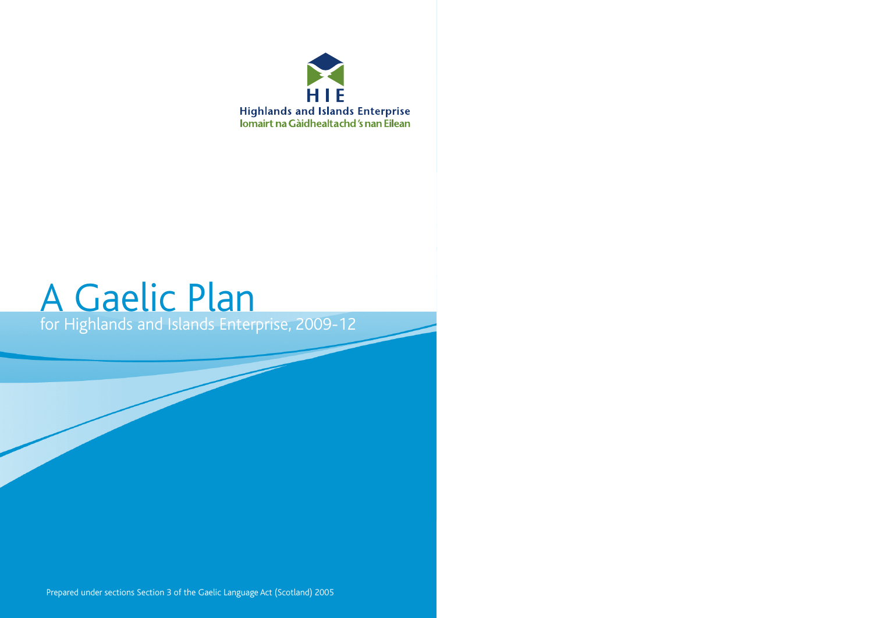

# A Gaelic Plan for Highlands and Islands Enterprise, 2009-12

Prepared under sections Section 3 of the Gaelic Language Act (Scotland) 2005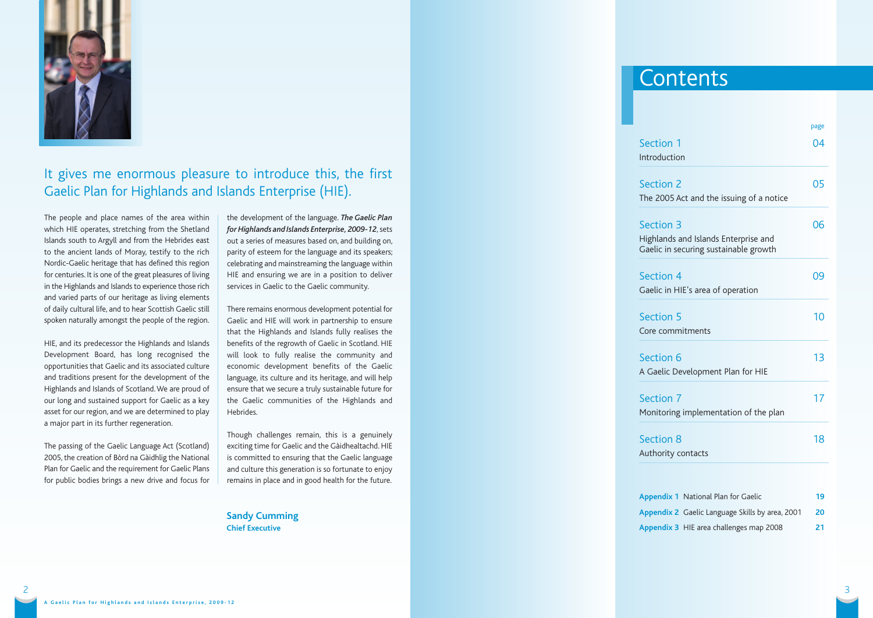

# It gives me enormous pleasure to introduce this, the first Gaelic Plan for Highlands and Islands Enterprise (HIE).

The people and place names of the area within which HIE operates, stretching from the Shetland Islands south to Argyll and from the Hebrides east to the ancient lands of Moray, testify to the rich Nordic-Gaelic heritage that has defined this region for centuries. It is one of the great pleasures of living in the Highlands and Islands to experience those rich and varied parts of our heritage as living elements of daily cultural life, and to hear Scottish Gaelic still spoken naturally amongst the people of the region.

HIE, and its predecessor the Highlands and Islands Development Board, has long recognised the opportunities that Gaelic and its associated culture and traditions present for the development of the Highlands and Islands of Scotland. We are proud of our long and sustained support for Gaelic as a key asset for our region, and we are determined to play a major part in its further regeneration.

The passing of the Gaelic Language Act (Scotland) 2005, the creation of Bòrd na Gàidhlig the National Plan for Gaelic and the requirement for Gaelic Plans for public bodies brings a new drive and focus for

the development of the language. *The Gaelic Plan for Highlands and Islands Enterprise, 2009-12*, sets out a series of measures based on, and building on, parity of esteem for the language and its speakers; celebrating and mainstreaming the language within HIE and ensuring we are in a position to deliver services in Gaelic to the Gaelic community.

There remains enormous development potential for Gaelic and HIE will work in partnership to ensure that the Highlands and Islands fully realises the benefits of the regrowth of Gaelic in Scotland. HIE will look to fully realise the community and economic development benefits of the Gaelic language, its culture and its heritage, and will help ensure that we secure a truly sustainable future for the Gaelic communities of the Highlands and Hebrides.

Though challenges remain, this is a genuinely exciting time for Gaelic and the Gàidhealtachd. HIE is committed to ensuring that the Gaelic language and culture this generation is so fortunate to enjoy remains in place and in good health for the future.

**Sandy Cumming Chief Executive**

# **Contents**

| Section 1<br>04<br>Introduction<br>05<br>Section 2<br>The 2005 Act and the issuing of a notice<br>Section 3<br>06<br>Highlands and Islands Enterprise and<br>Gaelic in securing sustainable growth<br>Section 4<br>09<br>Gaelic in HIE's area of operation<br>Section 5<br>10<br>Core commitments<br>Section 6<br>13<br>A Gaelic Development Plan for HIE<br>17<br>Section 7<br>Monitoring implementation of the plan<br><b>Section 8</b><br>18<br>Authority contacts<br><b>Appendix 1 National Plan for Gaelic</b><br>19 |                                                 | page |
|---------------------------------------------------------------------------------------------------------------------------------------------------------------------------------------------------------------------------------------------------------------------------------------------------------------------------------------------------------------------------------------------------------------------------------------------------------------------------------------------------------------------------|-------------------------------------------------|------|
|                                                                                                                                                                                                                                                                                                                                                                                                                                                                                                                           |                                                 |      |
|                                                                                                                                                                                                                                                                                                                                                                                                                                                                                                                           |                                                 |      |
|                                                                                                                                                                                                                                                                                                                                                                                                                                                                                                                           |                                                 |      |
|                                                                                                                                                                                                                                                                                                                                                                                                                                                                                                                           |                                                 |      |
|                                                                                                                                                                                                                                                                                                                                                                                                                                                                                                                           |                                                 |      |
|                                                                                                                                                                                                                                                                                                                                                                                                                                                                                                                           |                                                 |      |
|                                                                                                                                                                                                                                                                                                                                                                                                                                                                                                                           |                                                 |      |
|                                                                                                                                                                                                                                                                                                                                                                                                                                                                                                                           |                                                 |      |
| 20                                                                                                                                                                                                                                                                                                                                                                                                                                                                                                                        | Appendix 2 Gaelic Language Skills by area, 2001 |      |

**Appendix 3** HIE area challenges map 2008 **21**

2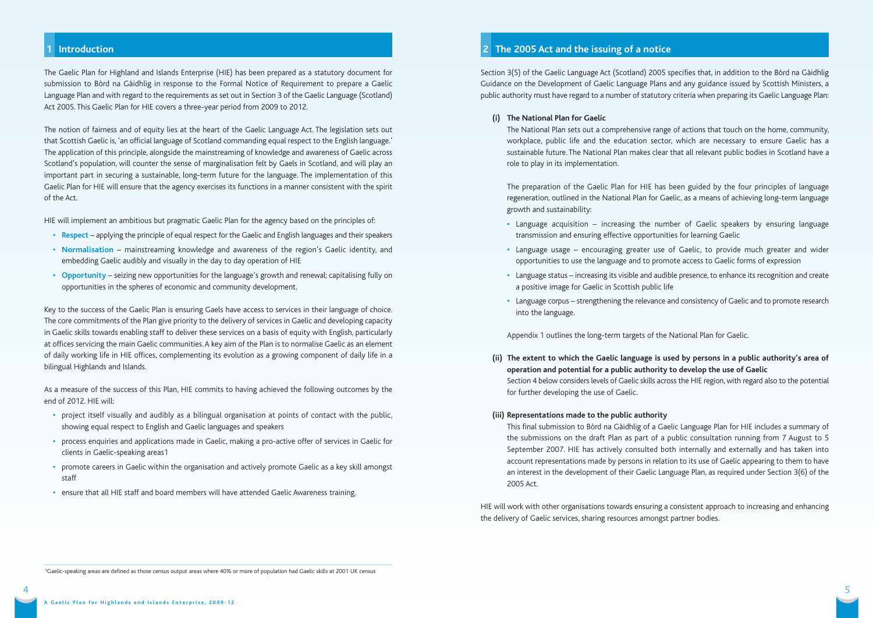### **1 Introduction**

The Gaelic Plan for Highland and Islands Enterprise (HIE) has been prepared as a statutory document for submission to Bòrd na Gàidhlig in response to the Formal Notice of Requirement to prepare a Gaelic Language Plan and with regard to the requirements as set out in Section 3 of the Gaelic Language (Scotland) Act 2005. This Gaelic Plan for HIE covers a three-year period from 2009 to 2012.

The notion of fairness and of equity lies at the heart of the Gaelic Language Act. The legislation sets out that Scottish Gaelic is, 'an official language of Scotland commanding equal respect to the English language.' The application of this principle, alongside the mainstreaming of knowledge and awareness of Gaelic across Scotland's population, will counter the sense of marginalisation felt by Gaels in Scotland, and will play an important part in securing a sustainable, long-term future for the language. The implementation of this Gaelic Plan for HIE will ensure that the agency exercises its functions in a manner consistent with the spirit of the Act.

HIE will implement an ambitious but pragmatic Gaelic Plan for the agency based on the principles of:

- **Respect** applying the principle of equal respect for the Gaelic and English languages and their speakers
- **Normalisation** mainstreaming knowledge and awareness of the region's Gaelic identity, and embedding Gaelic audibly and visually in the day to day operation of HIE
- **Opportunity** seizing new opportunities for the language's growth and renewal; capitalising fully on opportunities in the spheres of economic and community development.

Key to the success of the Gaelic Plan is ensuring Gaels have access to services in their language of choice. The core commitments of the Plan give priority to the delivery of services in Gaelic and developing capacity in Gaelic skills towards enabling staff to deliver these services on a basis of equity with English, particularly at offices servicing the main Gaelic communities. A key aim of the Plan is to normalise Gaelic as an element of daily working life in HIE offices, complementing its evolution as a growing component of daily life in a bilingual Highlands and Islands.

As a measure of the success of this Plan, HIE commits to having achieved the following outcomes by the end of 2012. HIE will:

- **•** project itself visually and audibly as a bilingual organisation at points of contact with the public, showing equal respect to English and Gaelic languages and speakers
- **•** process enquiries and applications made in Gaelic, making a pro-active offer of services in Gaelic for clients in Gaelic-speaking areas1
- **•** promote careers in Gaelic within the organisation and actively promote Gaelic as a key skill amongst staff
- **•** ensure that all HIE staff and board members will have attended Gaelic Awareness training.

# **2 The 2005 Act and the issuing of a notice**

Section 3(5) of the Gaelic Language Act (Scotland) 2005 specifies that, in addition to the Bòrd na Gàidhlig Guidance on the Development of Gaelic Language Plans and any guidance issued by Scottish Ministers, a public authority must have regard to a number of statutory criteria when preparing its Gaelic Language Plan:

#### **(i) The National Plan for Gaelic**

The National Plan sets out a comprehensive range of actions that touch on the home, community, workplace, public life and the education sector, which are necessary to ensure Gaelic has a sustainable future. The National Plan makes clear that all relevant public bodies in Scotland have a role to play in its implementation.

The preparation of the Gaelic Plan for HIE has been guided by the four principles of language regeneration, outlined in the National Plan for Gaelic, as a means of achieving long-term language growth and sustainability:

- **•** Language acquisition increasing the number of Gaelic speakers by ensuring language transmission and ensuring effective opportunities for learning Gaelic
- **•** Language usage encouraging greater use of Gaelic, to provide much greater and wider opportunities to use the language and to promote access to Gaelic forms of expression
- **•** Language status increasing its visible and audible presence, to enhance its recognition and create a positive image for Gaelic in Scottish public life
- **•** Language corpus strengthening the relevance and consistency of Gaelic and to promote research into the language.

Appendix 1 outlines the long-term targets of the National Plan for Gaelic.

**(ii) The extent to which the Gaelic language is used by persons in a public authority's area of operation and potential for a public authority to develop the use of Gaelic** Section 4 below considers levels of Gaelic skills across the HIE region, with regard also to the potential for further developing the use of Gaelic.

#### **(iii) Representations made to the public authority**

This final submission to Bòrd na Gàidhlig of a Gaelic Language Plan for HIE includes a summary of the submissions on the draft Plan as part of a public consultation running from 7 August to 5 September 2007. HIE has actively consulted both internally and externally and has taken into account representations made by persons in relation to its use of Gaelic appearing to them to have an interest in the development of their Gaelic Language Plan, as required under Section 3(6) of the 2005 Act.

HIE will work with other organisations towards ensuring a consistent approach to increasing and enhancing the delivery of Gaelic services, sharing resources amongst partner bodies.

1Gaelic-speaking areas are defined as those census output areas where 40% or more of population had Gaelic skills at 2001 UK census

4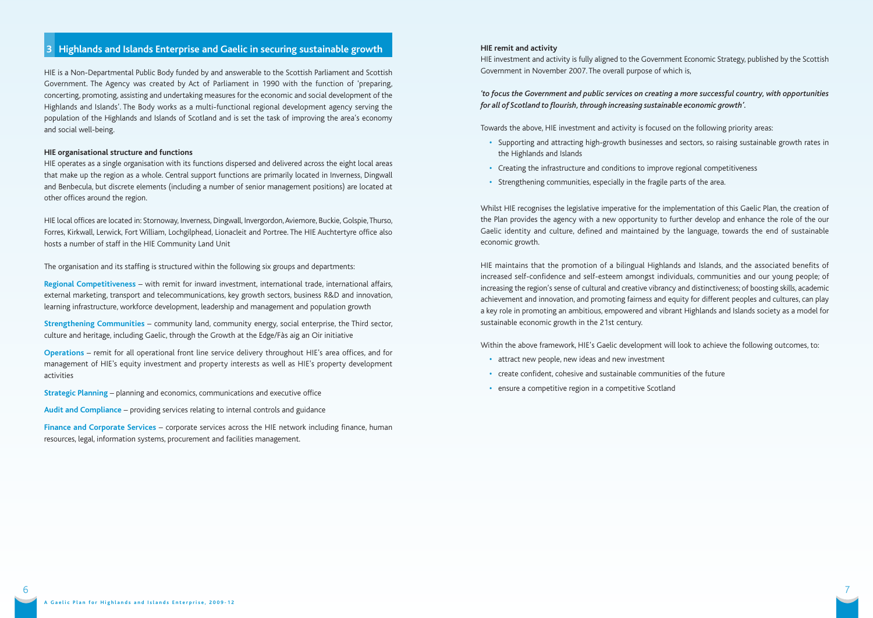# **3 Highlands and Islands Enterprise and Gaelic in securing sustainable growth**

HIE is a Non-Departmental Public Body funded by and answerable to the Scottish Parliament and Scottish Government. The Agency was created by Act of Parliament in 1990 with the function of 'preparing, concerting, promoting, assisting and undertaking measures for the economic and social development of the Highlands and Islands'. The Body works as a multi-functional regional development agency serving the population of the Highlands and Islands of Scotland and is set the task of improving the area's economy and social well-being.

#### **HIE organisational structure and functions**

HIE operates as a single organisation with its functions dispersed and delivered across the eight local areas that make up the region as a whole. Central support functions are primarily located in Inverness, Dingwall and Benbecula, but discrete elements (including a number of senior management positions) are located at other offices around the region.

HIE local offices are located in: Stornoway, Inverness, Dingwall, Invergordon, Aviemore, Buckie, Golspie, Thurso, Forres, Kirkwall, Lerwick, Fort William, Lochgilphead, Lionacleit and Portree. The HIE Auchtertyre office also hosts a number of staff in the HIE Community Land Unit

The organisation and its staffing is structured within the following six groups and departments:

**Regional Competitiveness** – with remit for inward investment, international trade, international affairs, external marketing, transport and telecommunications, key growth sectors, business R&D and innovation, learning infrastructure, workforce development, leadership and management and population growth

**Strengthening Communities** – community land, community energy, social enterprise, the Third sector, culture and heritage, including Gaelic, through the Growth at the Edge/Fàs aig an Oir initiative

**Operations** – remit for all operational front line service delivery throughout HIE's area offices, and for management of HIE's equity investment and property interests as well as HIE's property development activities

**Strategic Planning** – planning and economics, communications and executive office

**Audit and Compliance** – providing services relating to internal controls and guidance

**Finance and Corporate Services** – corporate services across the HIE network including finance, human resources, legal, information systems, procurement and facilities management.

#### **HIE remit and activity**

HIE investment and activity is fully aligned to the Government Economic Strategy, published by the Scottish Government in November 2007. The overall purpose of which is,

*'to focus the Government and public services on creating a more successful country, with opportunities for all of Scotland to flourish, through increasing sustainable economic growth'.*

Towards the above, HIE investment and activity is focused on the following priority areas:

- **•** Supporting and attracting high-growth businesses and sectors, so raising sustainable growth rates in the Highlands and Islands
- **•** Creating the infrastructure and conditions to improve regional competitiveness
- **•** Strengthening communities, especially in the fragile parts of the area.

Whilst HIE recognises the legislative imperative for the implementation of this Gaelic Plan, the creation of the Plan provides the agency with a new opportunity to further develop and enhance the role of the our Gaelic identity and culture, defined and maintained by the language, towards the end of sustainable economic growth.

HIE maintains that the promotion of a bilingual Highlands and Islands, and the associated benefits of increased self-confidence and self-esteem amongst individuals, communities and our young people; of increasing the region's sense of cultural and creative vibrancy and distinctiveness; of boosting skills, academic achievement and innovation, and promoting fairness and equity for different peoples and cultures, can play a key role in promoting an ambitious, empowered and vibrant Highlands and Islands society as a model for sustainable economic growth in the 21st century.

Within the above framework, HIE's Gaelic development will look to achieve the following outcomes, to:

- **•** attract new people, new ideas and new investment
- **•** create confident, cohesive and sustainable communities of the future
- **•** ensure a competitive region in a competitive Scotland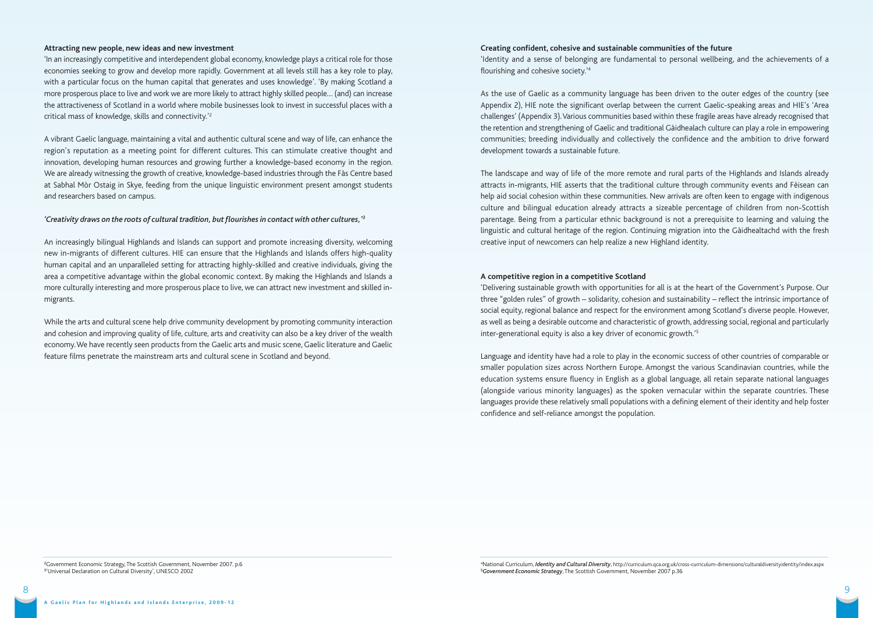#### **Attracting new people, new ideas and new investment**

'In an increasingly competitive and interdependent global economy, knowledge plays a critical role for those economies seeking to grow and develop more rapidly. Government at all levels still has a key role to play, with a particular focus on the human capital that generates and uses knowledge'. 'By making Scotland a more prosperous place to live and work we are more likely to attract highly skilled people… (and) can increase the attractiveness of Scotland in a world where mobile businesses look to invest in successful places with a critical mass of knowledge, skills and connectivity.'2

A vibrant Gaelic language, maintaining a vital and authentic cultural scene and way of life, can enhance the region's reputation as a meeting point for different cultures. This can stimulate creative thought and innovation, developing human resources and growing further a knowledge-based economy in the region. We are already witnessing the growth of creative, knowledge-based industries through the Fàs Centre based at Sabhal Mòr Ostaig in Skye, feeding from the unique linguistic environment present amongst students and researchers based on campus.

#### *'Creativity draws on the roots of cultural tradition, but flourishes in contact with other cultures,'3*

An increasingly bilingual Highlands and Islands can support and promote increasing diversity, welcoming new in-migrants of different cultures. HIE can ensure that the Highlands and Islands offers high-quality human capital and an unparalleled setting for attracting highly-skilled and creative individuals, giving the area a competitive advantage within the global economic context. By making the Highlands and Islands a more culturally interesting and more prosperous place to live, we can attract new investment and skilled inmigrants.

While the arts and cultural scene help drive community development by promoting community interaction and cohesion and improving quality of life, culture, arts and creativity can also be a key driver of the wealth economy. We have recently seen products from the Gaelic arts and music scene, Gaelic literature and Gaelic feature films penetrate the mainstream arts and cultural scene in Scotland and beyond.

#### **Creating confident, cohesive and sustainable communities of the future**

'Identity and a sense of belonging are fundamental to personal wellbeing, and the achievements of a flourishing and cohesive society.'4

As the use of Gaelic as a community language has been driven to the outer edges of the country (see Appendix 2), HIE note the significant overlap between the current Gaelic-speaking areas and HIE's 'Area challenges' (Appendix 3). Various communities based within these fragile areas have already recognised that the retention and strengthening of Gaelic and traditional Gàidhealach culture can play a role in empowering communities; breeding individually and collectively the confidence and the ambition to drive forward development towards a sustainable future.

The landscape and way of life of the more remote and rural parts of the Highlands and Islands already attracts in-migrants, HIE asserts that the traditional culture through community events and Fèisean can help aid social cohesion within these communities. New arrivals are often keen to engage with indigenous culture and bilingual education already attracts a sizeable percentage of children from non-Scottish parentage. Being from a particular ethnic background is not a prerequisite to learning and valuing the linguistic and cultural heritage of the region. Continuing migration into the Gàidhealtachd with the fresh creative input of newcomers can help realize a new Highland identity.

#### **A competitive region in a competitive Scotland**

'Delivering sustainable growth with opportunities for all is at the heart of the Government's Purpose. Our three "golden rules" of growth – solidarity, cohesion and sustainability – reflect the intrinsic importance of social equity, regional balance and respect for the environment among Scotland's diverse people. However, as well as being a desirable outcome and characteristic of growth, addressing social, regional and particularly inter-generational equity is also a key driver of economic growth.'5

Language and identity have had a role to play in the economic success of other countries of comparable or smaller population sizes across Northern Europe. Amongst the various Scandinavian countries, while the education systems ensure fluency in English as a global language, all retain separate national languages (alongside various minority languages) as the spoken vernacular within the separate countries. These languages provide these relatively small populations with a defining element of their identity and help foster confidence and self-reliance amongst the population.

<sup>2</sup>Government Economic Strategy, The Scottish Government, November 2007. p.6 3'Universal Declaration on Cultural Diversity', UNESCO 2002

<sup>4</sup>National Curriculum, *Identity and Cultural Diversity*, http://curriculum.qca.org.uk/cross-curriculum-dimensions/culturaldiversityidentity/index.aspx <sup>5</sup>*Government Economic Strategy*, The Scottish Government, November 2007 p.36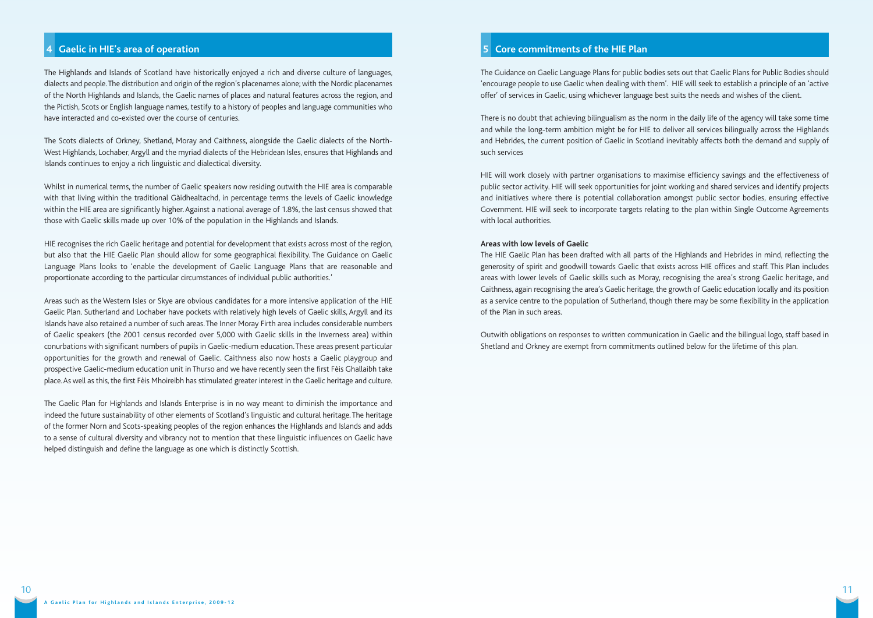# **4 Gaelic in HIE's area of operation**

The Highlands and Islands of Scotland have historically enjoyed a rich and diverse culture of languages, dialects and people. The distribution and origin of the region's placenames alone; with the Nordic placenames of the North Highlands and Islands, the Gaelic names of places and natural features across the region, and the Pictish, Scots or English language names, testify to a history of peoples and language communities who have interacted and co-existed over the course of centuries.

The Scots dialects of Orkney, Shetland, Moray and Caithness, alongside the Gaelic dialects of the North-West Highlands, Lochaber, Argyll and the myriad dialects of the Hebridean Isles, ensures that Highlands and Islands continues to enjoy a rich linguistic and dialectical diversity.

Whilst in numerical terms, the number of Gaelic speakers now residing outwith the HIE area is comparable with that living within the traditional Gàidhealtachd, in percentage terms the levels of Gaelic knowledge within the HIE area are significantly higher. Against a national average of 1.8%, the last census showed that those with Gaelic skills made up over 10% of the population in the Highlands and Islands.

HIE recognises the rich Gaelic heritage and potential for development that exists across most of the region, but also that the HIE Gaelic Plan should allow for some geographical flexibility. The Guidance on Gaelic Language Plans looks to 'enable the development of Gaelic Language Plans that are reasonable and proportionate according to the particular circumstances of individual public authorities.'

Areas such as the Western Isles or Skye are obvious candidates for a more intensive application of the HIE Gaelic Plan. Sutherland and Lochaber have pockets with relatively high levels of Gaelic skills, Argyll and its Islands have also retained a number of such areas. The Inner Moray Firth area includes considerable numbers of Gaelic speakers (the 2001 census recorded over 5,000 with Gaelic skills in the Inverness area) within conurbations with significant numbers of pupils in Gaelic-medium education. These areas present particular opportunities for the growth and renewal of Gaelic. Caithness also now hosts a Gaelic playgroup and prospective Gaelic-medium education unit in Thurso and we have recently seen the first Fèis Ghallaibh take place. As well as this, the first Fèis Mhoireibh has stimulated greater interest in the Gaelic heritage and culture.

The Gaelic Plan for Highlands and Islands Enterprise is in no way meant to diminish the importance and indeed the future sustainability of other elements of Scotland's linguistic and cultural heritage. The heritage of the former Norn and Scots-speaking peoples of the region enhances the Highlands and Islands and adds to a sense of cultural diversity and vibrancy not to mention that these linguistic influences on Gaelic have helped distinguish and define the language as one which is distinctly Scottish.

## **5 Core commitments of the HIE Plan**

The Guidance on Gaelic Language Plans for public bodies sets out that Gaelic Plans for Public Bodies should 'encourage people to use Gaelic when dealing with them'. HIE will seek to establish a principle of an 'active offer' of services in Gaelic, using whichever language best suits the needs and wishes of the client.

There is no doubt that achieving bilingualism as the norm in the daily life of the agency will take some time and while the long-term ambition might be for HIE to deliver all services bilingually across the Highlands and Hebrides, the current position of Gaelic in Scotland inevitably affects both the demand and supply of such services

HIE will work closely with partner organisations to maximise efficiency savings and the effectiveness of public sector activity. HIE will seek opportunities for joint working and shared services and identify projects and initiatives where there is potential collaboration amongst public sector bodies, ensuring effective Government. HIE will seek to incorporate targets relating to the plan within Single Outcome Agreements with local authorities.

#### **Areas with low levels of Gaelic**

The HIE Gaelic Plan has been drafted with all parts of the Highlands and Hebrides in mind, reflecting the generosity of spirit and goodwill towards Gaelic that exists across HIE offices and staff. This Plan includes areas with lower levels of Gaelic skills such as Moray, recognising the area's strong Gaelic heritage, and Caithness, again recognising the area's Gaelic heritage, the growth of Gaelic education locally and its position as a service centre to the population of Sutherland, though there may be some flexibility in the application of the Plan in such areas.

Outwith obligations on responses to written communication in Gaelic and the bilingual logo, staff based in Shetland and Orkney are exempt from commitments outlined below for the lifetime of this plan.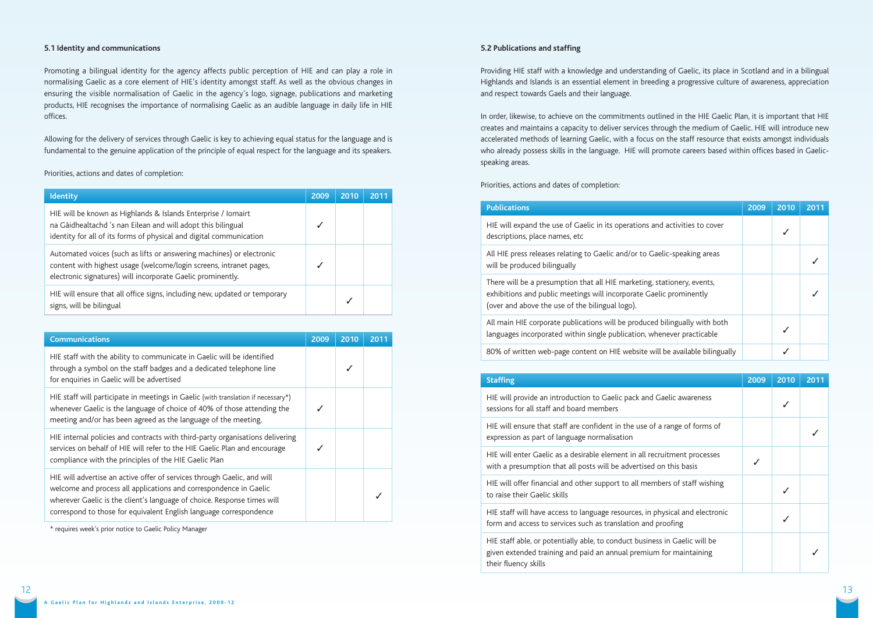#### **5.1 Identity and communications**

Promoting a bilingual identity for the agency affects public perception of HIE and can play a role in normalising Gaelic as a core element of HIE's identity amongst staff. As well as the obvious changes in ensuring the visible normalisation of Gaelic in the agency's logo, signage, publications and marketing products, HIE recognises the importance of normalising Gaelic as an audible language in daily life in HIE offices.

Allowing for the delivery of services through Gaelic is key to achieving equal status for the language and is fundamental to the genuine application of the principle of equal respect for the language and its speakers.

Priorities, actions and dates of completion:

| <b>Identity</b>                                                                                                                                                                                           | 2009 | 2010 | 2011 |
|-----------------------------------------------------------------------------------------------------------------------------------------------------------------------------------------------------------|------|------|------|
| HIE will be known as Highlands & Islands Enterprise / Iomairt<br>na Gàidhealtachd 's nan Eilean and will adopt this bilingual<br>identity for all of its forms of physical and digital communication      |      |      |      |
| Automated voices (such as lifts or answering machines) or electronic<br>content with highest usage (welcome/login screens, intranet pages,<br>electronic signatures) will incorporate Gaelic prominently. |      |      |      |
| HIE will ensure that all office signs, including new, updated or temporary<br>signs, will be bilingual                                                                                                    |      |      |      |

| <b>Communications</b>                                                                                                                                                                                                                                                                         | 2009 | 2010 | 2011 |
|-----------------------------------------------------------------------------------------------------------------------------------------------------------------------------------------------------------------------------------------------------------------------------------------------|------|------|------|
| HIE staff with the ability to communicate in Gaelic will be identified<br>through a symbol on the staff badges and a dedicated telephone line<br>for enquiries in Gaelic will be advertised                                                                                                   |      |      |      |
| HIE staff will participate in meetings in Gaelic (with translation if necessary*)<br>whenever Gaelic is the language of choice of 40% of those attending the<br>meeting and/or has been agreed as the language of the meeting.                                                                |      |      |      |
| HIE internal policies and contracts with third-party organisations delivering<br>services on behalf of HIE will refer to the HIE Gaelic Plan and encourage<br>compliance with the principles of the HIE Gaelic Plan                                                                           |      |      |      |
| HIE will advertise an active offer of services through Gaelic, and will<br>welcome and process all applications and correspondence in Gaelic<br>wherever Gaelic is the client's language of choice. Response times will<br>correspond to those for equivalent English language correspondence |      |      |      |

\* requires week's prior notice to Gaelic Policy Manager

#### **5.2 Publications and staffing**

Providing HIE staff with a knowledge and understanding of Gaelic, its place in Scotland and in a bilingual Highlands and Islands is an essential element in breeding a progressive culture of awareness, appreciation and respect towards Gaels and their language.

In order, likewise, to achieve on the commitments outlined in the HIE Gaelic Plan, it is important that HIE creates and maintains a capacity to deliver services through the medium of Gaelic. HIE will introduce new accelerated methods of learning Gaelic, with a focus on the staff resource that exists amongst individuals who already possess skills in the language. HIE will promote careers based within offices based in Gaelicspeaking areas.

Priorities, actions and dates of completion:

| <b>Publications</b>                                                                                                                                                                               | 2009 | 2010 | 2011 |
|---------------------------------------------------------------------------------------------------------------------------------------------------------------------------------------------------|------|------|------|
| HIE will expand the use of Gaelic in its operations and activities to cover<br>descriptions, place names, etc                                                                                     |      |      |      |
| All HIE press releases relating to Gaelic and/or to Gaelic-speaking areas<br>will be produced bilingually                                                                                         |      |      |      |
| There will be a presumption that all HIE marketing, stationery, events,<br>exhibitions and public meetings will incorporate Gaelic prominently<br>(over and above the use of the bilingual logo). |      |      |      |
| All main HIE corporate publications will be produced bilingually with both<br>languages incorporated within single publication, whenever practicable                                              |      |      |      |
| 80% of written web-page content on HIE website will be available bilingually                                                                                                                      |      |      |      |

| <b>Staffing</b>                                                                                                                                                          | 2009 | 2010 | 2011 |
|--------------------------------------------------------------------------------------------------------------------------------------------------------------------------|------|------|------|
| HIE will provide an introduction to Gaelic pack and Gaelic awareness<br>sessions for all staff and board members                                                         |      | ✓    |      |
| HIE will ensure that staff are confident in the use of a range of forms of<br>expression as part of language normalisation                                               |      |      |      |
| HIE will enter Gaelic as a desirable element in all recruitment processes<br>with a presumption that all posts will be advertised on this basis                          |      |      |      |
| HIE will offer financial and other support to all members of staff wishing<br>to raise their Gaelic skills                                                               |      | ✓    |      |
| HIE staff will have access to language resources, in physical and electronic<br>form and access to services such as translation and proofing                             |      |      |      |
| HIE staff able, or potentially able, to conduct business in Gaelic will be<br>given extended training and paid an annual premium for maintaining<br>their fluency skills |      |      |      |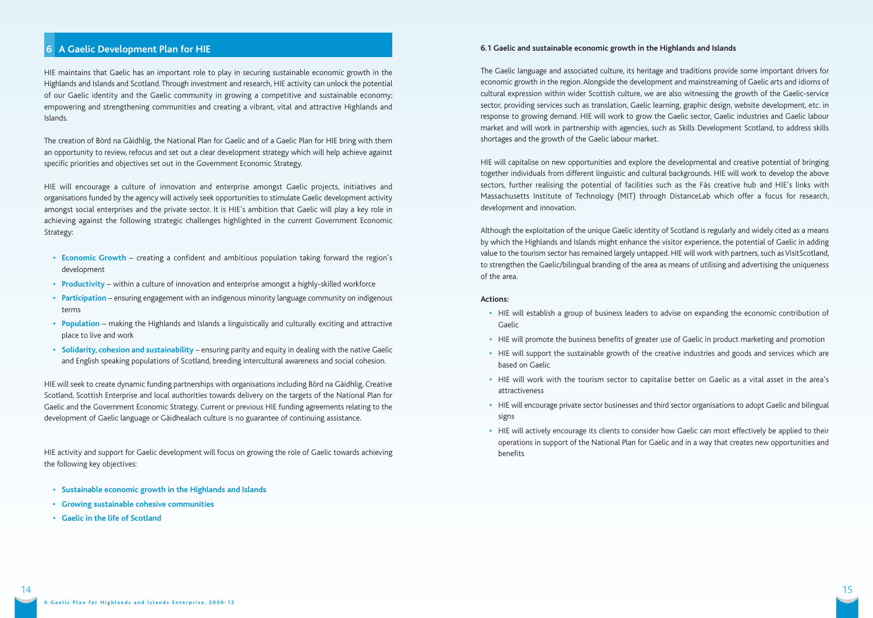# **6 A Gaelic Development Plan for HIE**

HIE maintains that Gaelic has an important role to play in securing sustainable economic growth in the Highlands and Islands and Scotland. Through investment and research, HIE activity can unlock the potential of our Gaelic identity and the Gaelic community in growing a competitive and sustainable economy; empowering and strengthening communities and creating a vibrant, vital and attractive Highlands and Islands.

The creation of Bòrd na Gàidhlig, the National Plan for Gaelic and of a Gaelic Plan for HIE bring with them an opportunity to review, refocus and set out a clear development strategy which will help achieve against specific priorities and objectives set out in the Government Economic Strategy.

HIE will encourage a culture of innovation and enterprise amongst Gaelic projects, initiatives and organisations funded by the agency will actively seek opportunities to stimulate Gaelic development activity amongst social enterprises and the private sector. It is HIE's ambition that Gaelic will play a key role in achieving against the following strategic challenges highlighted in the current Government Economic Strategy:

- **Economic Growth** creating a confident and ambitious population taking forward the region's development
- **Productivity** within a culture of innovation and enterprise amongst a highly-skilled workforce
- **Participation** ensuring engagement with an indigenous minority language community on indigenous terms
- **Population** making the Highlands and Islands a linguistically and culturally exciting and attractive place to live and work
- **Solidarity, cohesion and sustainability** ensuring parity and equity in dealing with the native Gaelic and English speaking populations of Scotland, breeding intercultural awareness and social cohesion.

HIE will seek to create dynamic funding partnerships with organisations including Bòrd na Gàidhlig, Creative Scotland, Scottish Enterprise and local authorities towards delivery on the targets of the National Plan for Gaelic and the Government Economic Strategy. Current or previous HIE funding agreements relating to the development of Gaelic language or Gàidhealach culture is no guarantee of continuing assistance.

HIE activity and support for Gaelic development will focus on growing the role of Gaelic towards achieving the following key objectives:

- **Sustainable economic growth in the Highlands and Islands**
- **Growing sustainable cohesive communities**
- **Gaelic in the life of Scotland**

#### **6.1 Gaelic and sustainable economic growth in the Highlands and Islands**

The Gaelic language and associated culture, its heritage and traditions provide some important drivers for economic growth in the region. Alongside the development and mainstreaming of Gaelic arts and idioms of cultural expression within wider Scottish culture, we are also witnessing the growth of the Gaelic-service sector, providing services such as translation, Gaelic learning, graphic design, website development, etc. in response to growing demand. HIE will work to grow the Gaelic sector, Gaelic industries and Gaelic labour market and will work in partnership with agencies, such as Skills Development Scotland, to address skills shortages and the growth of the Gaelic labour market.

HIE will capitalise on new opportunities and explore the developmental and creative potential of bringing together individuals from different linguistic and cultural backgrounds. HIE will work to develop the above sectors, further realising the potential of facilities such as the Fàs creative hub and HIE's links with Massachusetts Institute of Technology (MIT) through DistanceLab which offer a focus for research, development and innovation.

Although the exploitation of the unique Gaelic identity of Scotland is regularly and widely cited as a means by which the Highlands and Islands might enhance the visitor experience, the potential of Gaelic in adding value to the tourism sector has remained largely untapped. HIE will work with partners, such as VisitScotland, to strengthen the Gaelic/bilingual branding of the area as means of utilising and advertising the uniqueness of the area.

#### **Actions:**

- **•** HIE will establish a group of business leaders to advise on expanding the economic contribution of Gaelic
- **•** HIE will promote the business benefits of greater use of Gaelic in product marketing and promotion
- **•** HIE will support the sustainable growth of the creative industries and goods and services which are based on Gaelic
- **•** HIE will work with the tourism sector to capitalise better on Gaelic as a vital asset in the area's attractiveness
- **•** HIE will encourage private sector businesses and third sector organisations to adopt Gaelic and bilingual signs
- **•** HIE will actively encourage its clients to consider how Gaelic can most effectively be applied to their operations in support of the National Plan for Gaelic and in a way that creates new opportunities and benefits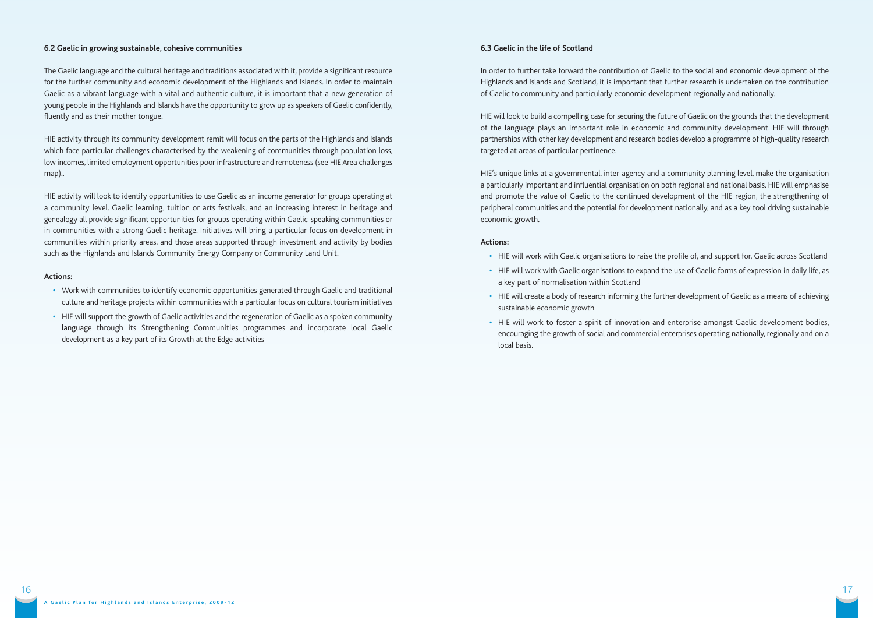#### **6.2 Gaelic in growing sustainable, cohesive communities**

The Gaelic language and the cultural heritage and traditions associated with it, provide a significant resource for the further community and economic development of the Highlands and Islands. In order to maintain Gaelic as a vibrant language with a vital and authentic culture, it is important that a new generation of young people in the Highlands and Islands have the opportunity to grow up as speakers of Gaelic confidently, fluently and as their mother tongue.

HIE activity through its community development remit will focus on the parts of the Highlands and Islands which face particular challenges characterised by the weakening of communities through population loss, low incomes, limited employment opportunities poor infrastructure and remoteness (see HIE Area challenges map)..

HIE activity will look to identify opportunities to use Gaelic as an income generator for groups operating at a community level. Gaelic learning, tuition or arts festivals, and an increasing interest in heritage and genealogy all provide significant opportunities for groups operating within Gaelic-speaking communities or in communities with a strong Gaelic heritage. Initiatives will bring a particular focus on development in communities within priority areas, and those areas supported through investment and activity by bodies such as the Highlands and Islands Community Energy Company or Community Land Unit.

#### **Actions:**

- **•** Work with communities to identify economic opportunities generated through Gaelic and traditional culture and heritage projects within communities with a particular focus on cultural tourism initiatives
- **•** HIE will support the growth of Gaelic activities and the regeneration of Gaelic as a spoken community language through its Strengthening Communities programmes and incorporate local Gaelic development as a key part of its Growth at the Edge activities

#### **6.3 Gaelic in the life of Scotland**

In order to further take forward the contribution of Gaelic to the social and economic development of the Highlands and Islands and Scotland, it is important that further research is undertaken on the contribution of Gaelic to community and particularly economic development regionally and nationally.

HIE will look to build a compelling case for securing the future of Gaelic on the grounds that the development of the language plays an important role in economic and community development. HIE will through partnerships with other key development and research bodies develop a programme of high-quality research targeted at areas of particular pertinence.

HIE's unique links at a governmental, inter-agency and a community planning level, make the organisation a particularly important and influential organisation on both regional and national basis. HIE will emphasise and promote the value of Gaelic to the continued development of the HIE region, the strengthening of peripheral communities and the potential for development nationally, and as a key tool driving sustainable economic growth.

#### **Actions:**

- **•** HIE will work with Gaelic organisations to raise the profile of, and support for, Gaelic across Scotland
- **•** HIE will work with Gaelic organisations to expand the use of Gaelic forms of expression in daily life, as a key part of normalisation within Scotland
- **•** HIE will create a body of research informing the further development of Gaelic as a means of achieving sustainable economic growth
- **•** HIE will work to foster a spirit of innovation and enterprise amongst Gaelic development bodies, encouraging the growth of social and commercial enterprises operating nationally, regionally and on a local basis.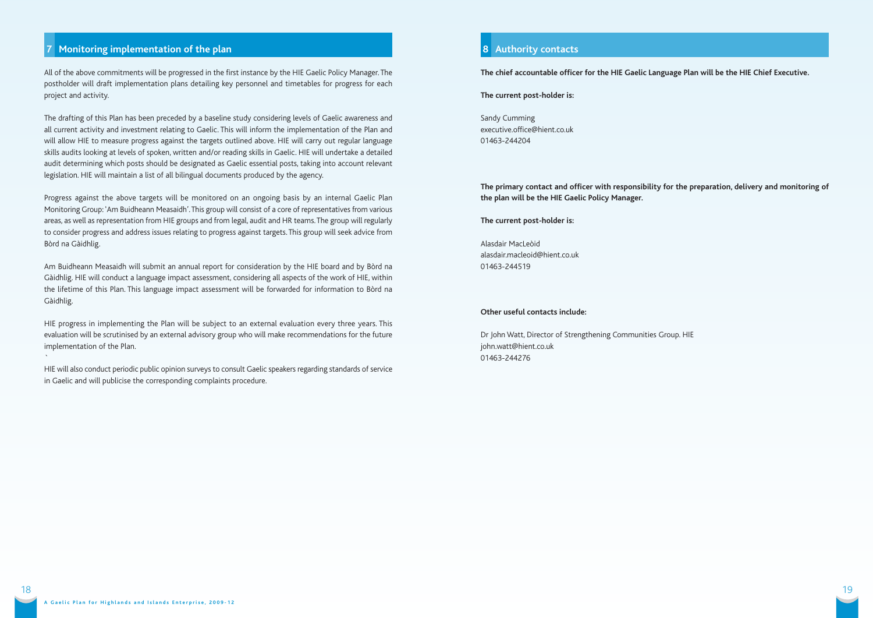# **7 Monitoring implementation of the plan**

All of the above commitments will be progressed in the first instance by the HIE Gaelic Policy Manager. The postholder will draft implementation plans detailing key personnel and timetables for progress for each project and activity.

The drafting of this Plan has been preceded by a baseline study considering levels of Gaelic awareness and all current activity and investment relating to Gaelic. This will inform the implementation of the Plan and will allow HIE to measure progress against the targets outlined above. HIE will carry out regular language skills audits looking at levels of spoken, written and/or reading skills in Gaelic. HIE will undertake a detailed audit determining which posts should be designated as Gaelic essential posts, taking into account relevant legislation. HIE will maintain a list of all bilingual documents produced by the agency.

Progress against the above targets will be monitored on an ongoing basis by an internal Gaelic Plan Monitoring Group: 'Am Buidheann Measaidh'. This group will consist of a core of representatives from various areas, as well as representation from HIE groups and from legal, audit and HR teams. The group will regularly to consider progress and address issues relating to progress against targets. This group will seek advice from Bòrd na Gàidhlig.

Am Buidheann Measaidh will submit an annual report for consideration by the HIE board and by Bòrd na Gàidhlig. HIE will conduct a language impact assessment, considering all aspects of the work of HIE, within the lifetime of this Plan. This language impact assessment will be forwarded for information to Bòrd na Gàidhlig.

HIE progress in implementing the Plan will be subject to an external evaluation every three years. This evaluation will be scrutinised by an external advisory group who will make recommendations for the future implementation of the Plan.

HIE will also conduct periodic public opinion surveys to consult Gaelic speakers regarding standards of service in Gaelic and will publicise the corresponding complaints procedure.

# **8 Authority contacts**

**The chief accountable officer for the HIE Gaelic Language Plan will be the HIE Chief Executive.**

**The current post-holder is:** 

Sandy Cumming executive.office@hient.co.uk 01463-244204

**The primary contact and officer with responsibility for the preparation, delivery and monitoring of the plan will be the HIE Gaelic Policy Manager.**

**The current post-holder is:**

Alasdair MacLeòid alasdair.macleoid@hient.co.uk 01463-244519

#### **Other useful contacts include:**

Dr John Watt, Director of Strengthening Communities Group. HIE john.watt@hient.co.uk 01463-244276

18

`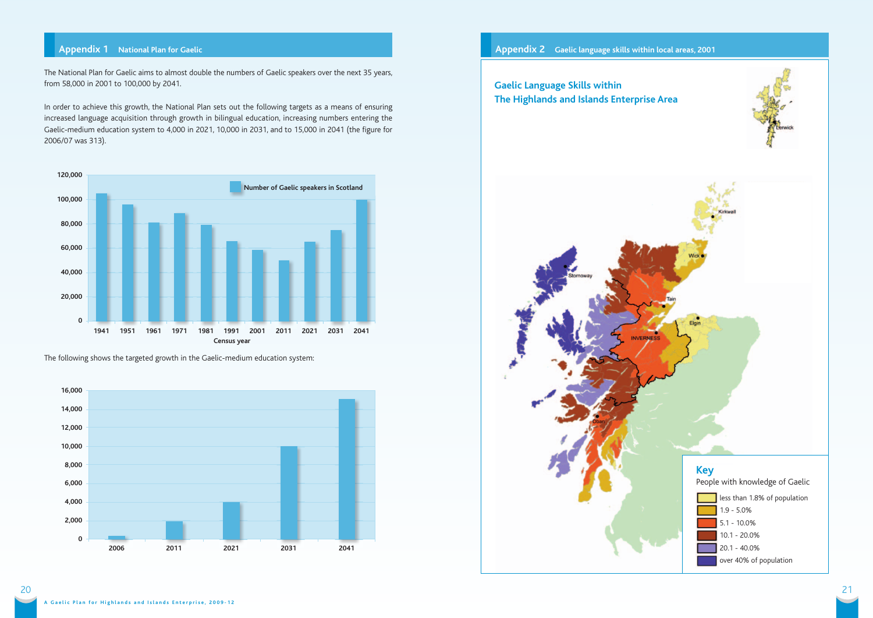# **Appendix 1 National Plan for Gaelic**

The National Plan for Gaelic aims to almost double the numbers of Gaelic speakers over the next 35 years, from 58,000 in 2001 to 100,000 by 2041.

In order to achieve this growth, the National Plan sets out the following targets as a means of ensuring increased language acquisition through growth in bilingual education, increasing numbers entering the Gaelic-medium education system to 4,000 in 2021, 10,000 in 2031, and to 15,000 in 2041 (the figure for 2006/07 was 313).



The following shows the targeted growth in the Gaelic-medium education system:



# **Appendix 2 Gaelic language skills within local areas, 2001**